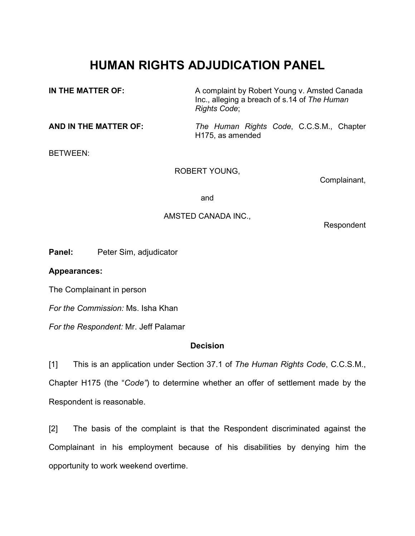## **HUMAN RIGHTS ADJUDICATION PANEL**

**IN THE MATTER OF:** A complaint by Robert Young v. Amsted Canada Inc., alleging a breach of s.14 of *The Human Rights Code*;

**AND IN THE MATTER OF:** *The Human Rights Code*, C.C.S.M., Chapter H175, as amended

BETWEEN:

ROBERT YOUNG,

Complainant,

and

## AMSTED CANADA INC.,

Respondent

**Panel:** Peter Sim, adjudicator

**Appearances:**

The Complainant in person

*For the Commission:* Ms. Isha Khan

*For the Respondent:* Mr. Jeff Palamar

## **Decision**

[1] This is an application under Section 37.1 of *The Human Rights Code*, C.C.S.M.,

Chapter H175 (the "*Code"*) to determine whether an offer of settlement made by the Respondent is reasonable.

[2] The basis of the complaint is that the Respondent discriminated against the Complainant in his employment because of his disabilities by denying him the opportunity to work weekend overtime.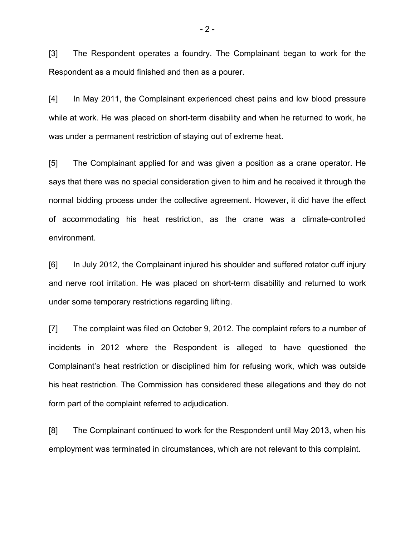[3] The Respondent operates a foundry. The Complainant began to work for the Respondent as a mould finished and then as a pourer.

[4] In May 2011, the Complainant experienced chest pains and low blood pressure while at work. He was placed on short-term disability and when he returned to work, he was under a permanent restriction of staying out of extreme heat.

[5] The Complainant applied for and was given a position as a crane operator. He says that there was no special consideration given to him and he received it through the normal bidding process under the collective agreement. However, it did have the effect of accommodating his heat restriction, as the crane was a climate-controlled environment.

[6] In July 2012, the Complainant injured his shoulder and suffered rotator cuff injury and nerve root irritation. He was placed on short-term disability and returned to work under some temporary restrictions regarding lifting.

[7] The complaint was filed on October 9, 2012. The complaint refers to a number of incidents in 2012 where the Respondent is alleged to have questioned the Complainant's heat restriction or disciplined him for refusing work, which was outside his heat restriction. The Commission has considered these allegations and they do not form part of the complaint referred to adjudication.

[8] The Complainant continued to work for the Respondent until May 2013, when his employment was terminated in circumstances, which are not relevant to this complaint.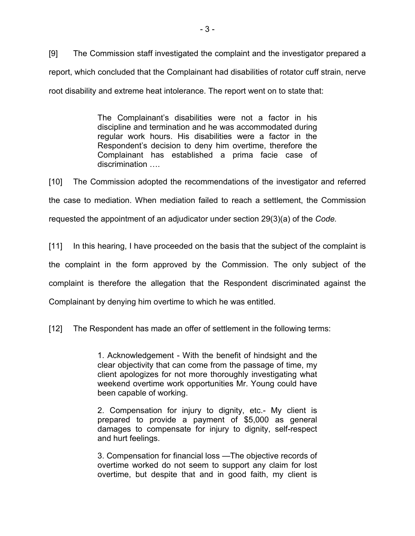[9] The Commission staff investigated the complaint and the investigator prepared a report, which concluded that the Complainant had disabilities of rotator cuff strain, nerve root disability and extreme heat intolerance. The report went on to state that:

> The Complainant's disabilities were not a factor in his discipline and termination and he was accommodated during regular work hours. His disabilities were a factor in the Respondent's decision to deny him overtime, therefore the Complainant has established a prima facie case of discrimination ….

[10] The Commission adopted the recommendations of the investigator and referred the case to mediation. When mediation failed to reach a settlement, the Commission requested the appointment of an adjudicator under section 29(3)(a) of the *Code.*

[11] In this hearing, I have proceeded on the basis that the subject of the complaint is the complaint in the form approved by the Commission. The only subject of the complaint is therefore the allegation that the Respondent discriminated against the Complainant by denying him overtime to which he was entitled.

[12] The Respondent has made an offer of settlement in the following terms:

1. Acknowledgement - With the benefit of hindsight and the clear objectivity that can come from the passage of time, my client apologizes for not more thoroughly investigating what weekend overtime work opportunities Mr. Young could have been capable of working.

2. Compensation for injury to dignity, etc.- My client is prepared to provide a payment of \$5,000 as general damages to compensate for injury to dignity, self-respect and hurt feelings.

3. Compensation for financial loss —The objective records of overtime worked do not seem to support any claim for lost overtime, but despite that and in good faith, my client is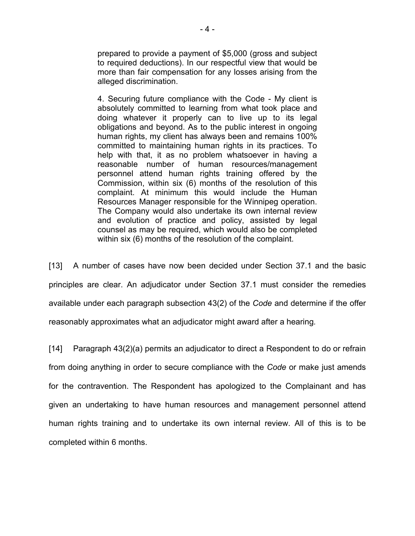prepared to provide a payment of \$5,000 (gross and subject to required deductions). In our respectful view that would be more than fair compensation for any losses arising from the alleged discrimination.

4. Securing future compliance with the Code - My client is absolutely committed to learning from what took place and doing whatever it properly can to live up to its legal obligations and beyond. As to the public interest in ongoing human rights, my client has always been and remains 100% committed to maintaining human rights in its practices. To help with that, it as no problem whatsoever in having a reasonable number of human resources/management personnel attend human rights training offered by the Commission, within six (6) months of the resolution of this complaint. At minimum this would include the Human Resources Manager responsible for the Winnipeg operation. The Company would also undertake its own internal review and evolution of practice and policy, assisted by legal counsel as may be required, which would also be completed within six (6) months of the resolution of the complaint.

[13] A number of cases have now been decided under Section 37.1 and the basic principles are clear. An adjudicator under Section 37.1 must consider the remedies available under each paragraph subsection 43(2) of the *Code* and determine if the offer reasonably approximates what an adjudicator might award after a hearing*.*

[14] Paragraph 43(2)(a) permits an adjudicator to direct a Respondent to do or refrain from doing anything in order to secure compliance with the *Code* or make just amends for the contravention. The Respondent has apologized to the Complainant and has given an undertaking to have human resources and management personnel attend human rights training and to undertake its own internal review. All of this is to be completed within 6 months.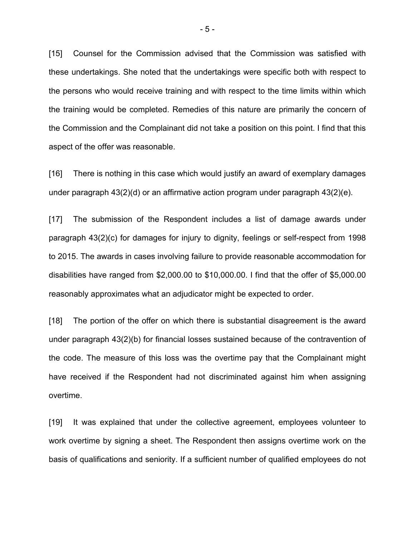[15] Counsel for the Commission advised that the Commission was satisfied with these undertakings. She noted that the undertakings were specific both with respect to the persons who would receive training and with respect to the time limits within which the training would be completed. Remedies of this nature are primarily the concern of the Commission and the Complainant did not take a position on this point. I find that this aspect of the offer was reasonable.

[16] There is nothing in this case which would justify an award of exemplary damages under paragraph 43(2)(d) or an affirmative action program under paragraph 43(2)(e).

[17] The submission of the Respondent includes a list of damage awards under paragraph 43(2)(c) for damages for injury to dignity, feelings or self-respect from 1998 to 2015. The awards in cases involving failure to provide reasonable accommodation for disabilities have ranged from \$2,000.00 to \$10,000.00. I find that the offer of \$5,000.00 reasonably approximates what an adjudicator might be expected to order.

[18] The portion of the offer on which there is substantial disagreement is the award under paragraph 43(2)(b) for financial losses sustained because of the contravention of the code. The measure of this loss was the overtime pay that the Complainant might have received if the Respondent had not discriminated against him when assigning overtime.

[19] It was explained that under the collective agreement, employees volunteer to work overtime by signing a sheet. The Respondent then assigns overtime work on the basis of qualifications and seniority. If a sufficient number of qualified employees do not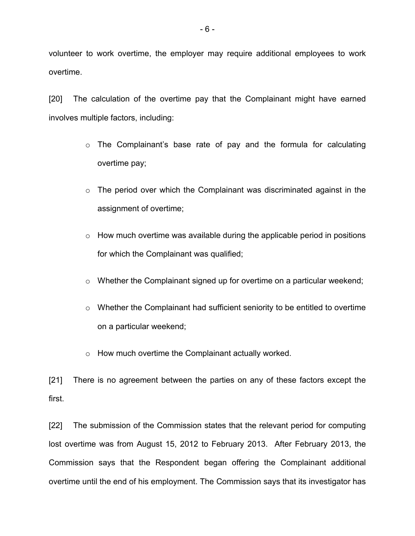volunteer to work overtime, the employer may require additional employees to work overtime.

[20] The calculation of the overtime pay that the Complainant might have earned involves multiple factors, including:

- $\circ$  The Complainant's base rate of pay and the formula for calculating overtime pay;
- $\circ$  The period over which the Complainant was discriminated against in the assignment of overtime;
- $\circ$  How much overtime was available during the applicable period in positions for which the Complainant was qualified;
- o Whether the Complainant signed up for overtime on a particular weekend;
- $\circ$  Whether the Complainant had sufficient seniority to be entitled to overtime on a particular weekend;
- o How much overtime the Complainant actually worked.

[21] There is no agreement between the parties on any of these factors except the first.

[22] The submission of the Commission states that the relevant period for computing lost overtime was from August 15, 2012 to February 2013. After February 2013, the Commission says that the Respondent began offering the Complainant additional overtime until the end of his employment. The Commission says that its investigator has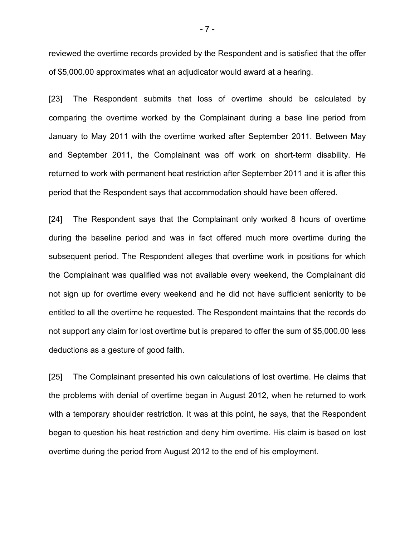reviewed the overtime records provided by the Respondent and is satisfied that the offer of \$5,000.00 approximates what an adjudicator would award at a hearing.

[23] The Respondent submits that loss of overtime should be calculated by comparing the overtime worked by the Complainant during a base line period from January to May 2011 with the overtime worked after September 2011. Between May and September 2011, the Complainant was off work on short-term disability. He returned to work with permanent heat restriction after September 2011 and it is after this period that the Respondent says that accommodation should have been offered.

[24] The Respondent says that the Complainant only worked 8 hours of overtime during the baseline period and was in fact offered much more overtime during the subsequent period. The Respondent alleges that overtime work in positions for which the Complainant was qualified was not available every weekend, the Complainant did not sign up for overtime every weekend and he did not have sufficient seniority to be entitled to all the overtime he requested. The Respondent maintains that the records do not support any claim for lost overtime but is prepared to offer the sum of \$5,000.00 less deductions as a gesture of good faith.

[25] The Complainant presented his own calculations of lost overtime. He claims that the problems with denial of overtime began in August 2012, when he returned to work with a temporary shoulder restriction. It was at this point, he says, that the Respondent began to question his heat restriction and deny him overtime. His claim is based on lost overtime during the period from August 2012 to the end of his employment.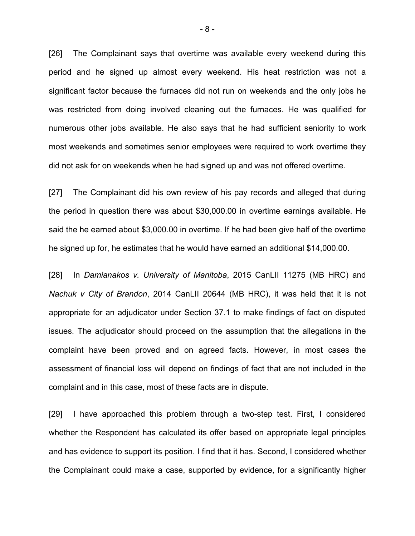[26] The Complainant says that overtime was available every weekend during this period and he signed up almost every weekend. His heat restriction was not a significant factor because the furnaces did not run on weekends and the only jobs he was restricted from doing involved cleaning out the furnaces. He was qualified for numerous other jobs available. He also says that he had sufficient seniority to work most weekends and sometimes senior employees were required to work overtime they did not ask for on weekends when he had signed up and was not offered overtime.

[27] The Complainant did his own review of his pay records and alleged that during the period in question there was about \$30,000.00 in overtime earnings available. He said the he earned about \$3,000.00 in overtime. If he had been give half of the overtime he signed up for, he estimates that he would have earned an additional \$14,000.00.

[28] In *Damianakos v. University of Manitoba*, 2015 CanLII 11275 (MB HRC) and *Nachuk v City of Brandon*, 2014 CanLII 20644 (MB HRC), it was held that it is not appropriate for an adjudicator under Section 37.1 to make findings of fact on disputed issues. The adjudicator should proceed on the assumption that the allegations in the complaint have been proved and on agreed facts. However, in most cases the assessment of financial loss will depend on findings of fact that are not included in the complaint and in this case, most of these facts are in dispute.

[29] I have approached this problem through a two-step test. First, I considered whether the Respondent has calculated its offer based on appropriate legal principles and has evidence to support its position. I find that it has. Second, I considered whether the Complainant could make a case, supported by evidence, for a significantly higher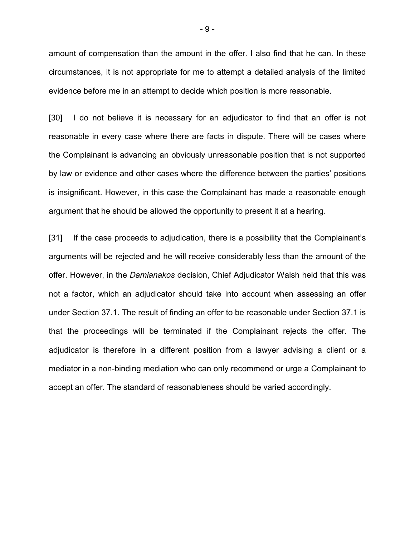amount of compensation than the amount in the offer. I also find that he can. In these circumstances, it is not appropriate for me to attempt a detailed analysis of the limited evidence before me in an attempt to decide which position is more reasonable.

[30] I do not believe it is necessary for an adjudicator to find that an offer is not reasonable in every case where there are facts in dispute. There will be cases where the Complainant is advancing an obviously unreasonable position that is not supported by law or evidence and other cases where the difference between the parties' positions is insignificant. However, in this case the Complainant has made a reasonable enough argument that he should be allowed the opportunity to present it at a hearing.

[31] If the case proceeds to adjudication, there is a possibility that the Complainant's arguments will be rejected and he will receive considerably less than the amount of the offer. However, in the *Damianakos* decision, Chief Adjudicator Walsh held that this was not a factor, which an adjudicator should take into account when assessing an offer under Section 37.1. The result of finding an offer to be reasonable under Section 37.1 is that the proceedings will be terminated if the Complainant rejects the offer. The adjudicator is therefore in a different position from a lawyer advising a client or a mediator in a non-binding mediation who can only recommend or urge a Complainant to accept an offer. The standard of reasonableness should be varied accordingly.